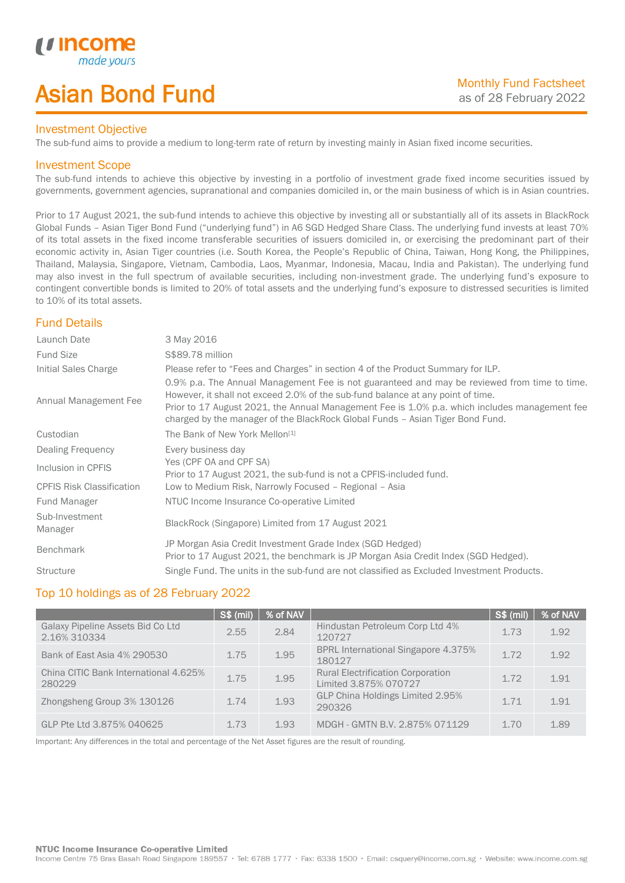# Asian Bond Fund

### Investment Objective

The sub-fund aims to provide a medium to long-term rate of return by investing mainly in Asian fixed income securities.

## Investment Scope

*u* incor

I

The sub-fund intends to achieve this objective by investing in a portfolio of investment grade fixed income securities issued by governments, government agencies, supranational and companies domiciled in, or the main business of which is in Asian countries.

Prior to 17 August 2021, the sub-fund intends to achieve this objective by investing all or substantially all of its assets in BlackRock Global Funds – Asian Tiger Bond Fund ("underlying fund") in A6 SGD Hedged Share Class. The underlying fund invests at least 70% of its total assets in the fixed income transferable securities of issuers domiciled in, or exercising the predominant part of their economic activity in, Asian Tiger countries (i.e. South Korea, the People's Republic of China, Taiwan, Hong Kong, the Philippines, Thailand, Malaysia, Singapore, Vietnam, Cambodia, Laos, Myanmar, Indonesia, Macau, India and Pakistan). The underlying fund may also invest in the full spectrum of available securities, including non-investment grade. The underlying fund's exposure to contingent convertible bonds is limited to 20% of total assets and the underlying fund's exposure to distressed securities is limited to 10% of its total assets.

## Fund Details

| Launch Date                      | 3 May 2016                                                                                                                                                                                                                                                                                                                                                        |
|----------------------------------|-------------------------------------------------------------------------------------------------------------------------------------------------------------------------------------------------------------------------------------------------------------------------------------------------------------------------------------------------------------------|
| <b>Fund Size</b>                 | S\$89.78 million                                                                                                                                                                                                                                                                                                                                                  |
| Initial Sales Charge             | Please refer to "Fees and Charges" in section 4 of the Product Summary for ILP.                                                                                                                                                                                                                                                                                   |
| Annual Management Fee            | 0.9% p.a. The Annual Management Fee is not guaranteed and may be reviewed from time to time.<br>However, it shall not exceed 2.0% of the sub-fund balance at any point of time.<br>Prior to 17 August 2021, the Annual Management Fee is 1.0% p.a. which includes management fee<br>charged by the manager of the BlackRock Global Funds - Asian Tiger Bond Fund. |
| Custodian                        | The Bank of New York Mellon <sup>[1]</sup>                                                                                                                                                                                                                                                                                                                        |
| Dealing Frequency                | Every business day                                                                                                                                                                                                                                                                                                                                                |
| Inclusion in CPFIS               | Yes (CPF OA and CPF SA)<br>Prior to 17 August 2021, the sub-fund is not a CPFIS-included fund.                                                                                                                                                                                                                                                                    |
| <b>CPFIS Risk Classification</b> | Low to Medium Risk, Narrowly Focused - Regional - Asia                                                                                                                                                                                                                                                                                                            |
| <b>Fund Manager</b>              | NTUC Income Insurance Co-operative Limited                                                                                                                                                                                                                                                                                                                        |
| Sub-Investment<br>Manager        | BlackRock (Singapore) Limited from 17 August 2021                                                                                                                                                                                                                                                                                                                 |
| <b>Benchmark</b>                 | JP Morgan Asia Credit Investment Grade Index (SGD Hedged)<br>Prior to 17 August 2021, the benchmark is JP Morgan Asia Credit Index (SGD Hedged).                                                                                                                                                                                                                  |
| <b>Structure</b>                 | Single Fund. The units in the sub-fund are not classified as Excluded Investment Products.                                                                                                                                                                                                                                                                        |

## Top 10 holdings as of 28 February 2022

|                                                   | <b>S\$ (mil)</b> | % of NAV |                                                                   | S\$ (mil) | │ % of NAV |
|---------------------------------------------------|------------------|----------|-------------------------------------------------------------------|-----------|------------|
| Galaxy Pipeline Assets Bid Co Ltd<br>2.16% 310334 | 2.55             | 2.84     | Hindustan Petroleum Corp Ltd 4%<br>120727                         | 1.73      | 1.92       |
| Bank of East Asia 4% 290530                       | 1.75             | 1.95     | <b>BPRL International Singapore 4.375%</b><br>180127              | 1.72      | 1.92       |
| China CITIC Bank International 4.625%<br>280229   | 1.75             | 1.95     | <b>Rural Electrification Corporation</b><br>Limited 3.875% 070727 | 1.72      | 1.91       |
| Zhongsheng Group 3% 130126                        | 1.74             | 1.93     | GLP China Holdings Limited 2.95%<br>290326                        | 1 7 1     | 191        |
| GLP Pte Ltd 3.875% 040625                         | 1.73             | 1.93     | MDGH - GMTN B.V. 2.875% 071129                                    | 1.70      | 1.89       |

Important: Any differences in the total and percentage of the Net Asset figures are the result of rounding.